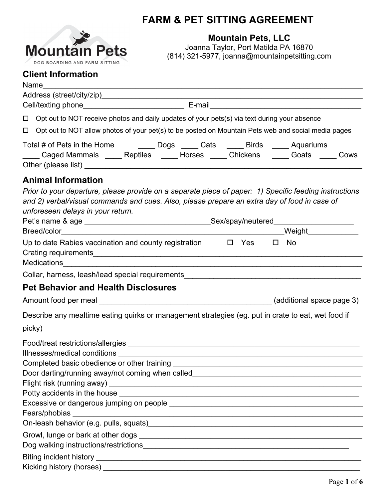

# **FARM & PET SITTING AGREEMENT**

**Mountain Pets, LLC**

Joanna Taylor, Port Matilda PA 16870 (814) 321-5977, joanna@mountainpetsitting.com

# **Client Information**

| Name                                                                                                                                                           |                                                                                                        |
|----------------------------------------------------------------------------------------------------------------------------------------------------------------|--------------------------------------------------------------------------------------------------------|
|                                                                                                                                                                |                                                                                                        |
|                                                                                                                                                                |                                                                                                        |
| Opt out to NOT receive photos and daily updates of your pets(s) via text during your absence<br>$\Box$                                                         |                                                                                                        |
| $\Box$                                                                                                                                                         | Opt out to NOT allow photos of your pet(s) to be posted on Mountain Pets web and social media pages    |
| Total # of Pets in the Home ________ Dogs _____ Cats _____ Birds _____ Aquariums                                                                               | Caged Mammals _____ Reptiles _____ Horses _____ Chickens _____ Goats ____ Cows                         |
| <b>Animal Information</b><br>and 2) verbal/visual commands and cues. Also, please prepare an extra day of food in case of<br>unforeseen delays in your return. | Prior to your departure, please provide on a separate piece of paper: 1) Specific feeding instructions |
|                                                                                                                                                                |                                                                                                        |
| Up to date Rabies vaccination and county registration $\Box$ Yes                                                                                               | No<br>$\Box$                                                                                           |
|                                                                                                                                                                |                                                                                                        |
| <b>Pet Behavior and Health Disclosures</b>                                                                                                                     |                                                                                                        |
|                                                                                                                                                                |                                                                                                        |
|                                                                                                                                                                | Describe any mealtime eating quirks or management strategies (eg. put in crate to eat, wet food if     |
|                                                                                                                                                                |                                                                                                        |
|                                                                                                                                                                |                                                                                                        |
|                                                                                                                                                                |                                                                                                        |
| Completed basic obedience or other training                                                                                                                    |                                                                                                        |
|                                                                                                                                                                |                                                                                                        |
|                                                                                                                                                                |                                                                                                        |
|                                                                                                                                                                |                                                                                                        |
|                                                                                                                                                                |                                                                                                        |
|                                                                                                                                                                |                                                                                                        |
|                                                                                                                                                                |                                                                                                        |
|                                                                                                                                                                |                                                                                                        |
|                                                                                                                                                                |                                                                                                        |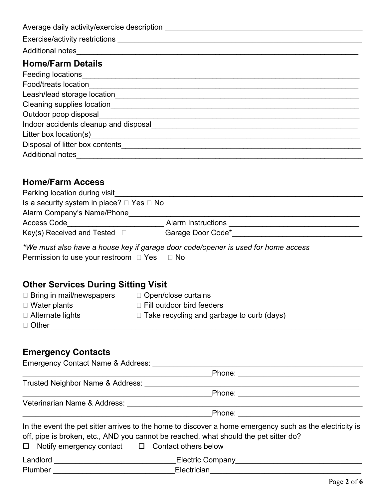| Average daily activity/exercise description                                                                                                                                                                                    |
|--------------------------------------------------------------------------------------------------------------------------------------------------------------------------------------------------------------------------------|
| Exercise/activity restrictions                                                                                                                                                                                                 |
| Additional notes                                                                                                                                                                                                               |
| <b>Home/Farm Details</b>                                                                                                                                                                                                       |
|                                                                                                                                                                                                                                |
| Food/treats location in the contract of the contract of the contract of the contract of the contract of the contract of the contract of the contract of the contract of the contract of the contract of the contract of the co |
| Leash/lead storage location                                                                                                                                                                                                    |
| Cleaning supplies location example and the contract of the contract of the contract of the contract of the contract of the contract of the contract of the contract of the contract of the contract of the contract of the con |
| Outdoor poop disposal                                                                                                                                                                                                          |
| Indoor accidents cleanup and disposal                                                                                                                                                                                          |
|                                                                                                                                                                                                                                |
|                                                                                                                                                                                                                                |
| <b>Additional notes</b>                                                                                                                                                                                                        |

### **Home/Farm Access**

| <b>Alarm Instructions</b> |                                                     |
|---------------------------|-----------------------------------------------------|
| Garage Door Code*         |                                                     |
|                           | Is a security system in place? $\Box$ Yes $\Box$ No |

*\*We must also have a house key if garage door code/opener is used for home access* Permission to use your restroom  $\Box$  Yes  $\Box$  No

# **Other Services During Sitting Visit**

| $\Box$ Bring in mail/newspapers | $\Box$ Open/close curtains                       |
|---------------------------------|--------------------------------------------------|
| $\Box$ Water plants             | $\Box$ Fill outdoor bird feeders                 |
| $\Box$ Alternate lights         | $\Box$ Take recycling and garbage to curb (days) |
| $\Box$ Other                    |                                                  |
|                                 |                                                  |

## **Emergency Contacts**

| Emergency Contact Name & Address: |                                                                                                                                                                                                                                                                |
|-----------------------------------|----------------------------------------------------------------------------------------------------------------------------------------------------------------------------------------------------------------------------------------------------------------|
|                                   | Phone:                                                                                                                                                                                                                                                         |
| Trusted Neighbor Name & Address:  |                                                                                                                                                                                                                                                                |
|                                   | Phone:                                                                                                                                                                                                                                                         |
| Veterinarian Name & Address:      |                                                                                                                                                                                                                                                                |
|                                   | Phone:                                                                                                                                                                                                                                                         |
|                                   | In the event the pet sitter arrives to the home to discover a home emergency such as the electricity is<br>off, pipe is broken, etc., AND you cannot be reached, what should the pet sitter do?<br>$\Box$ Notify emergency contact $\Box$ Contact others below |
| Landlord                          | Electric Company <b>Electric Company</b>                                                                                                                                                                                                                       |
| Plumber                           | Electrician                                                                                                                                                                                                                                                    |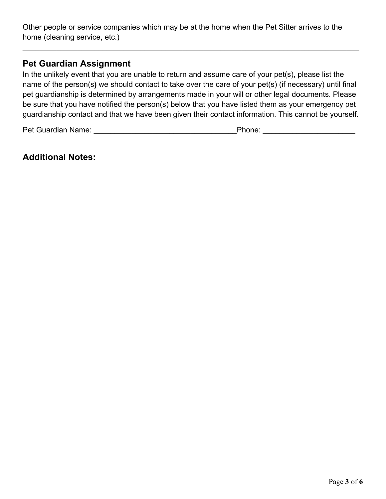Other people or service companies which may be at the home when the Pet Sitter arrives to the home (cleaning service, etc.)

#### **Pet Guardian Assignment**

In the unlikely event that you are unable to return and assume care of your pet(s), please list the name of the person(s**)** we should contact to take over the care of your pet(s) (if necessary) until final pet guardianship is determined by arrangements made in your will or other legal documents. Please be sure that you have notified the person(s) below that you have listed them as your emergency pet guardianship contact and that we have been given their contact information. This cannot be yourself.

\_\_\_\_\_\_\_\_\_\_\_\_\_\_\_\_\_\_\_\_\_\_\_\_\_\_\_\_\_\_\_\_\_\_\_\_\_\_\_\_\_\_\_\_\_\_\_\_\_\_\_\_\_\_\_\_\_\_\_\_\_\_\_\_\_\_\_\_\_\_\_\_\_\_\_\_\_\_\_\_

Pet Guardian Name: et al. 2011 and 2012 and 2013 and 2014 and 2012 and 2013 and 2013 and 2013 and 2013 and 201

#### **Additional Notes:**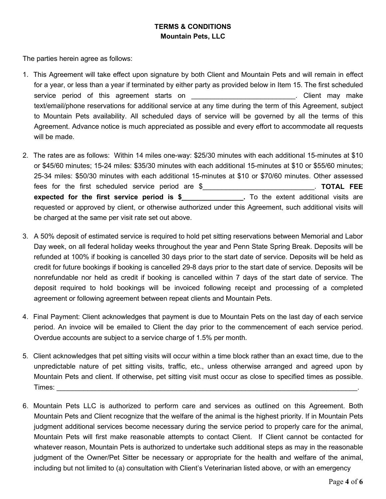#### **TERMS & CONDITIONS Mountain Pets, LLC**

The parties herein agree as follows:

- 1. This Agreement will take effect upon signature by both Client and Mountain Pets and will remain in effect for a year, or less than a year if terminated by either party as provided below in Item 15. The first scheduled service period of this agreement starts on **Example 20 and 10** and 20 and 20 and 20 and 20 and 20 and 20 and 20 and 20 and 20 and 20 and 20 and 20 and 20 and 20 and 20 and 20 and 20 and 20 and 20 and 20 and 20 and 20 and 2 text/email/phone reservations for additional service at any time during the term of this Agreement, subject to Mountain Pets availability. All scheduled days of service will be governed by all the terms of this Agreement. Advance notice is much appreciated as possible and every effort to accommodate all requests will be made.
- 2. The rates are as follows: Within 14 miles one-way: \$25/30 minutes with each additional 15-minutes at \$10 or \$45/60 minutes; 15-24 miles: \$35/30 minutes with each additional 15-minutes at \$10 or \$55/60 minutes; 25-34 miles: \$50/30 minutes with each additional 15-minutes at \$10 or \$70/60 minutes. Other assessed fees for the first scheduled service period are \$\_\_\_\_\_\_\_\_\_\_\_\_\_\_\_\_\_\_\_\_\_\_\_\_\_\_\_\_\_. **TOTAL FEE expected for the first service period is \$** To the extent additional visits are requested or approved by client, or otherwise authorized under this Agreement, such additional visits will be charged at the same per visit rate set out above.
- 3. A 50% deposit of estimated service is required to hold pet sitting reservations between Memorial and Labor Day week, on all federal holiday weeks throughout the year and Penn State Spring Break. Deposits will be refunded at 100% if booking is cancelled 30 days prior to the start date of service. Deposits will be held as credit for future bookings if booking is cancelled 29-8 days prior to the start date of service. Deposits will be nonrefundable nor held as credit if booking is cancelled within 7 days of the start date of service. The deposit required to hold bookings will be invoiced following receipt and processing of a completed agreement or following agreement between repeat clients and Mountain Pets.
- 4. Final Payment: Client acknowledges that payment is due to Mountain Pets on the last day of each service period. An invoice will be emailed to Client the day prior to the commencement of each service period. Overdue accounts are subject to a service charge of 1.5% per month.
- 5. Client acknowledges that pet sitting visits will occur within a time block rather than an exact time, due to the unpredictable nature of pet sitting visits, traffic, etc., unless otherwise arranged and agreed upon by Mountain Pets and client. If otherwise, pet sitting visit must occur as close to specified times as possible. Times: \_\_\_\_\_\_\_\_\_\_\_\_\_\_\_\_\_\_\_\_\_\_\_\_\_\_\_\_\_\_\_\_\_\_\_\_\_\_\_\_\_\_\_\_\_\_\_\_\_\_\_\_\_\_\_\_\_\_\_\_\_\_\_\_\_\_\_\_\_\_\_\_\_\_\_\_\_\_.
- 6. Mountain Pets LLC is authorized to perform care and services as outlined on this Agreement. Both Mountain Pets and Client recognize that the welfare of the animal is the highest priority. If in Mountain Pets judgment additional services become necessary during the service period to properly care for the animal, Mountain Pets will first make reasonable attempts to contact Client. If Client cannot be contacted for whatever reason, Mountain Pets is authorized to undertake such additional steps as may in the reasonable judgment of the Owner/Pet Sitter be necessary or appropriate for the health and welfare of the animal, including but not limited to (a) consultation with Client's Veterinarian listed above, or with an emergency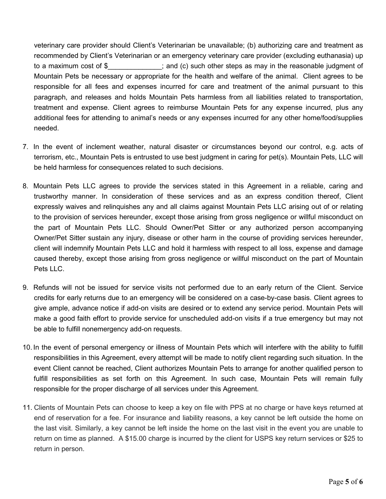veterinary care provider should Client's Veterinarian be unavailable; (b) authorizing care and treatment as recommended by Client's Veterinarian or an emergency veterinary care provider (excluding euthanasia) up to a maximum cost of \$  $\vdots$  and (c) such other steps as may in the reasonable judgment of Mountain Pets be necessary or appropriate for the health and welfare of the animal. Client agrees to be responsible for all fees and expenses incurred for care and treatment of the animal pursuant to this paragraph, and releases and holds Mountain Pets harmless from all liabilities related to transportation, treatment and expense. Client agrees to reimburse Mountain Pets for any expense incurred, plus any additional fees for attending to animal's needs or any expenses incurred for any other home/food/supplies needed.

- 7. In the event of inclement weather, natural disaster or circumstances beyond our control, e.g. acts of terrorism, etc., Mountain Pets is entrusted to use best judgment in caring for pet(s). Mountain Pets, LLC will be held harmless for consequences related to such decisions.
- 8. Mountain Pets LLC agrees to provide the services stated in this Agreement in a reliable, caring and trustworthy manner. In consideration of these services and as an express condition thereof, Client expressly waives and relinquishes any and all claims against Mountain Pets LLC arising out of or relating to the provision of services hereunder, except those arising from gross negligence or willful misconduct on the part of Mountain Pets LLC. Should Owner/Pet Sitter or any authorized person accompanying Owner/Pet Sitter sustain any injury, disease or other harm in the course of providing services hereunder, client will indemnify Mountain Pets LLC and hold it harmless with respect to all loss, expense and damage caused thereby, except those arising from gross negligence or willful misconduct on the part of Mountain Pets LLC.
- 9. Refunds will not be issued for service visits not performed due to an early return of the Client. Service credits for early returns due to an emergency will be considered on a case-by-case basis. Client agrees to give ample, advance notice if add-on visits are desired or to extend any service period. Mountain Pets will make a good faith effort to provide service for unscheduled add-on visits if a true emergency but may not be able to fulfill nonemergency add-on requests.
- 10. In the event of personal emergency or illness of Mountain Pets which will interfere with the ability to fulfill responsibilities in this Agreement, every attempt will be made to notify client regarding such situation. In the event Client cannot be reached, Client authorizes Mountain Pets to arrange for another qualified person to fulfill responsibilities as set forth on this Agreement. In such case, Mountain Pets will remain fully responsible for the proper discharge of all services under this Agreement.
- 11. Clients of Mountain Pets can choose to keep a key on file with PPS at no charge or have keys returned at end of reservation for a fee. For insurance and liability reasons, a key cannot be left outside the home on the last visit. Similarly, a key cannot be left inside the home on the last visit in the event you are unable to return on time as planned. A \$15.00 charge is incurred by the client for USPS key return services or \$25 to return in person.